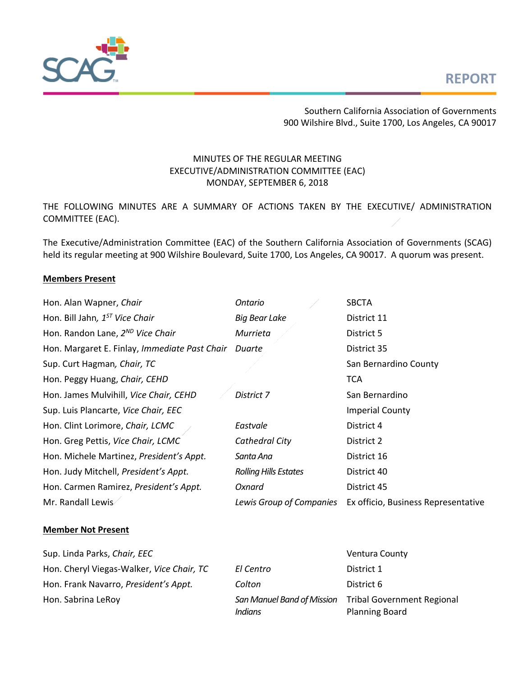



Southern California Association of Governments 900 Wilshire Blvd., Suite 1700, Los Angeles, CA 90017

## MINUTES OF THE REGULAR MEETING EXECUTIVE/ADMINISTRATION COMMITTEE (EAC) MONDAY, SEPTEMBER 6, 2018

THE FOLLOWING MINUTES ARE A SUMMARY OF ACTIONS TAKEN BY THE EXECUTIVE/ ADMINISTRATION COMMITTEE (EAC).

The Executive/Administration Committee (EAC) of the Southern California Association of Governments (SCAG) held its regular meeting at 900 Wilshire Boulevard, Suite 1700, Los Angeles, CA 90017. A quorum was present.

#### **Members Present**

| Ontario                      | <b>SBCTA</b>                        |
|------------------------------|-------------------------------------|
| <b>Big Bear Lake</b>         | District 11                         |
| Murrieta                     | District 5                          |
| Duarte                       | District 35                         |
|                              | San Bernardino County               |
|                              | <b>TCA</b>                          |
| District 7                   | San Bernardino                      |
|                              | <b>Imperial County</b>              |
| Eastvale                     | District 4                          |
| Cathedral City               | District 2                          |
| Santa Ana                    | District 16                         |
| <b>Rolling Hills Estates</b> | District 40                         |
| Oxnard                       | District 45                         |
| Lewis Group of Companies     | Ex officio, Business Representative |
|                              |                                     |

### **Member Not Present**

Sup. Linda Parks, *Chair, EEC* Ventura County Hon. Cheryl Viegas-Walker, Vice Chair, TC Hon. Frank Navarro, President's Appt. Hon. Sabrina LeRoy *San Manuel Band of Mission* 

| El Centro | District 1                                                                     |
|-----------|--------------------------------------------------------------------------------|
| Colton    | District 6                                                                     |
| Indians   | San Manuel Band of Mission Tribal Government Regional<br><b>Planning Board</b> |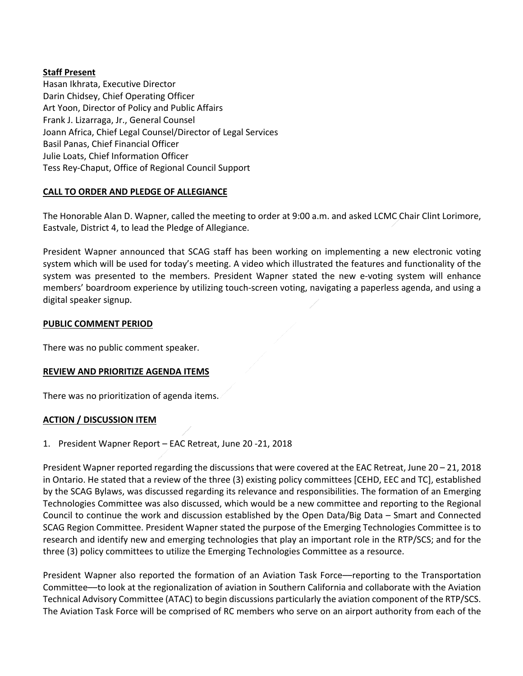## **Staff Present**

Hasan Ikhrata, Executive Director Darin Chidsey, Chief Operating Officer Art Yoon, Director of Policy and Public Affairs Frank J. Lizarraga, Jr., General Counsel Joann Africa, Chief Legal Counsel/Director of Legal Services Basil Panas, Chief Financial Officer Julie Loats, Chief Information Officer Tess Rey‐Chaput, Office of Regional Council Support

# **CALL TO ORDER AND PLEDGE OF ALLEGIANCE**

The Honorable Alan D. Wapner, called the meeting to order at 9:00 a.m. and asked LCMC Chair Clint Lorimore, Eastvale, District 4, to lead the Pledge of Allegiance.

President Wapner announced that SCAG staff has been working on implementing a new electronic voting system which will be used for today's meeting. A video which illustrated the features and functionality of the system was presented to the members. President Wapner stated the new e-voting system will enhance members' boardroom experience by utilizing touch‐screen voting, navigating a paperless agenda, and using a digital speaker signup.

## **PUBLIC COMMENT PERIOD**

There was no public comment speaker.

## **REVIEW AND PRIORITIZE AGENDA ITEMS**

There was no prioritization of agenda items.

## **ACTION / DISCUSSION ITEM**

1. President Wapner Report – EAC Retreat, June 20 ‐21, 2018

President Wapner reported regarding the discussions that were covered at the EAC Retreat, June 20 – 21, 2018 in Ontario. He stated that a review of the three (3) existing policy committees [CEHD, EEC and TC], established by the SCAG Bylaws, was discussed regarding its relevance and responsibilities. The formation of an Emerging Technologies Committee was also discussed, which would be a new committee and reporting to the Regional Council to continue the work and discussion established by the Open Data/Big Data – Smart and Connected SCAG Region Committee. President Wapner stated the purpose of the Emerging Technologies Committee is to research and identify new and emerging technologies that play an important role in the RTP/SCS; and for the three (3) policy committees to utilize the Emerging Technologies Committee as a resource.

President Wapner also reported the formation of an Aviation Task Force—reporting to the Transportation Committee––to look at the regionalization of aviation in Southern California and collaborate with the Aviation Technical Advisory Committee (ATAC) to begin discussions particularly the aviation component of the RTP/SCS. The Aviation Task Force will be comprised of RC members who serve on an airport authority from each of the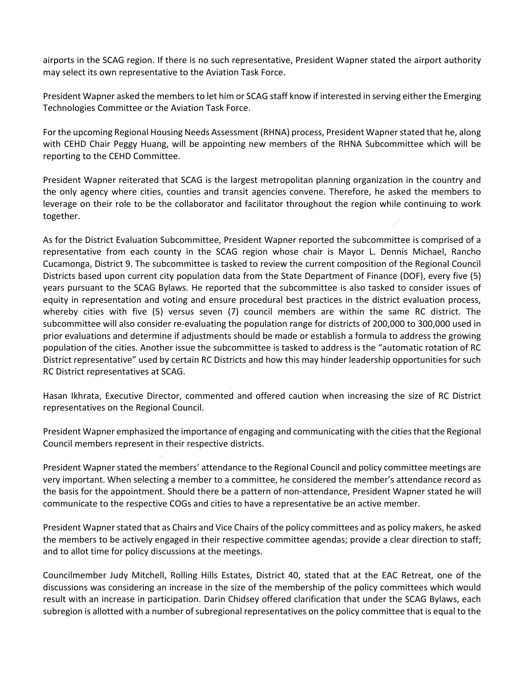airports in the SCAG region. If there is no such representative, President Wapner stated the airport authority may select its own representative to the Aviation Task Force.

President Wapner asked the members to let him or SCAG staff know if interested in serving either the Emerging Technologies Committee or the Aviation Task Force.

For the upcoming Regional Housing Needs Assessment (RHNA) process, President Wapner stated that he, along with CEHD Chair Peggy Huang, will be appointing new members of the RHNA Subcommittee which will be reporting to the CEHD Committee.

President Wapner reiterated that SCAG is the largest metropolitan planning organization in the country and the only agency where cities, counties and transit agencies convene. Therefore, he asked the members to leverage on their role to be the collaborator and facilitator throughout the region while continuing to work together.

As for the District Evaluation Subcommittee, President Wapner reported the subcommittee is comprised of a representative from each county in the SCAG region whose chair is Mayor L. Dennis Michael, Rancho Cucamonga, District 9. The subcommittee is tasked to review the current composition of the Regional Council Districts based upon current city population data from the State Department of Finance (DOF), every five (5) years pursuant to the SCAG Bylaws. He reported that the subcommittee is also tasked to consider issues of equity in representation and voting and ensure procedural best practices in the district evaluation process, whereby cities with five (5) versus seven (7) council members are within the same RC district. The subcommittee will also consider re‐evaluating the population range for districts of 200,000 to 300,000 used in prior evaluations and determine if adjustments should be made or establish a formula to address the growing population of the cities. Another issue the subcommittee is tasked to address is the "automatic rotation of RC District representative" used by certain RC Districts and how this may hinder leadership opportunities for such RC District representatives at SCAG.

Hasan Ikhrata, Executive Director, commented and offered caution when increasing the size of RC District representatives on the Regional Council.

President Wapner emphasized the importance of engaging and communicating with the cities that the Regional Council members represent in their respective districts.

President Wapner stated the members' attendance to the Regional Council and policy committee meetings are very important. When selecting a member to a committee, he considered the member's attendance record as the basis for the appointment. Should there be a pattern of non-attendance, President Wapner stated he will communicate to the respective COGs and cities to have a representative be an active member.

President Wapner stated that as Chairs and Vice Chairs of the policy committees and as policy makers, he asked the members to be actively engaged in their respective committee agendas; provide a clear direction to staff; and to allot time for policy discussions at the meetings.

Councilmember Judy Mitchell, Rolling Hills Estates, District 40, stated that at the EAC Retreat, one of the discussions was considering an increase in the size of the membership of the policy committees which would result with an increase in participation. Darin Chidsey offered clarification that under the SCAG Bylaws, each subregion is allotted with a number of subregional representatives on the policy committee that is equal to the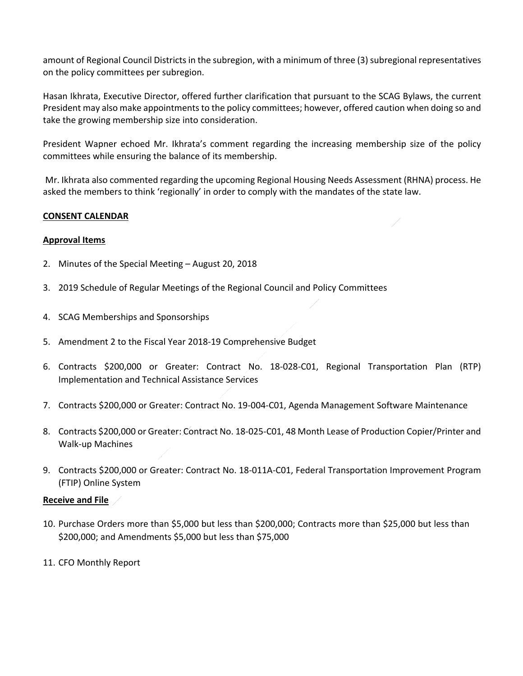amount of Regional Council Districts in the subregion, with a minimum of three (3) subregional representatives on the policy committees per subregion.

Hasan Ikhrata, Executive Director, offered further clarification that pursuant to the SCAG Bylaws, the current President may also make appointments to the policy committees; however, offered caution when doing so and take the growing membership size into consideration.

President Wapner echoed Mr. Ikhrata's comment regarding the increasing membership size of the policy committees while ensuring the balance of its membership.

 Mr. Ikhrata also commented regarding the upcoming Regional Housing Needs Assessment (RHNA) process. He asked the members to think 'regionally' in order to comply with the mandates of the state law.

## **CONSENT CALENDAR**

## **Approval Items**

- 2. Minutes of the Special Meeting August 20, 2018
- 3. 2019 Schedule of Regular Meetings of the Regional Council and Policy Committees
- 4. SCAG Memberships and Sponsorships
- 5. Amendment 2 to the Fiscal Year 2018‐19 Comprehensive Budget
- 6. Contracts \$200,000 or Greater: Contract No. 18‐028‐C01, Regional Transportation Plan (RTP) Implementation and Technical Assistance Services
- 7. Contracts \$200,000 or Greater: Contract No. 19‐004‐C01, Agenda Management Software Maintenance
- 8. Contracts \$200,000 or Greater: Contract No. 18‐025‐C01, 48 Month Lease of Production Copier/Printer and Walk‐up Machines
- 9. Contracts \$200,000 or Greater: Contract No. 18‐011A‐C01, Federal Transportation Improvement Program (FTIP) Online System

#### **Receive and File**

- 10. Purchase Orders more than \$5,000 but less than \$200,000; Contracts more than \$25,000 but less than \$200,000; and Amendments \$5,000 but less than \$75,000
- 11. CFO Monthly Report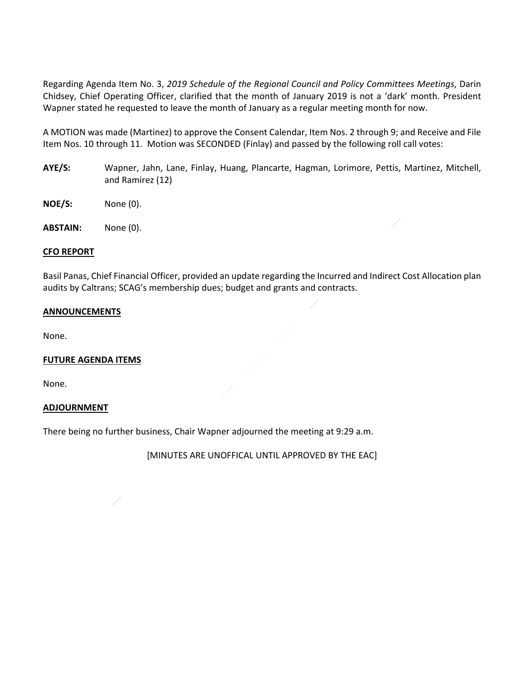Regarding Agenda Item No. 3, *2019 Schedule of the Regional Council and Policy Committees Meetings*, Darin Chidsey, Chief Operating Officer, clarified that the month of January 2019 is not a 'dark' month. President Wapner stated he requested to leave the month of January as a regular meeting month for now.

A MOTION was made (Martinez) to approve the Consent Calendar, Item Nos. 2 through 9; and Receive and File Item Nos. 10 through 11. Motion was SECONDED (Finlay) and passed by the following roll call votes:

- **AYE/S:** Wapner, Jahn, Lane, Finlay, Huang, Plancarte, Hagman, Lorimore, Pettis, Martinez, Mitchell, and Ramirez (12)
- **NOE/S:**  None (0).
- **ABSTAIN:** None (0).

#### **CFO REPORT**

Basil Panas, Chief Financial Officer, provided an update regarding the Incurred and Indirect Cost Allocation plan audits by Caltrans; SCAG's membership dues; budget and grants and contracts.

#### **ANNOUNCEMENTS**

None.

#### **FUTURE AGENDA ITEMS**

None.

#### **ADJOURNMENT**

There being no further business, Chair Wapner adjourned the meeting at 9:29 a.m.

[MINUTES ARE UNOFFICAL UNTIL APPROVED BY THE EAC]